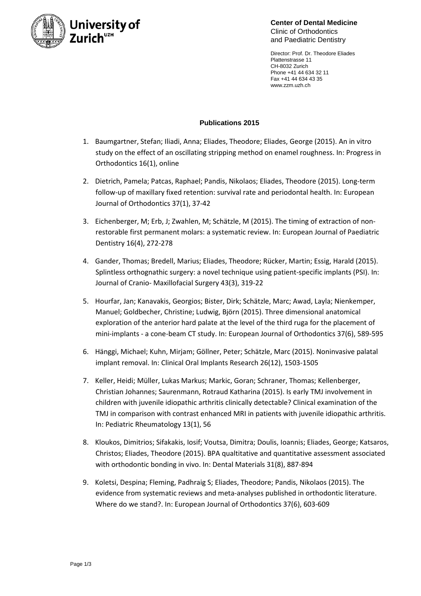

**Center of Dental Medicine** Clinic of Orthodontics and Paediatric Dentistry

Director: Prof. Dr. Theodore Eliades Plattenstrasse 11 CH-8032 Zurich Phone +41 44 634 32 11 Fax +41 44 634 43 35 www.zzm.uzh.ch

## **Publications 2015**

- 1. Baumgartner, Stefan; Iliadi, Anna; Eliades, Theodore; Eliades, George (2015). An in vitro study on the effect of an oscillating stripping method on enamel roughness. In: Progress in Orthodontics 16(1), online
- 2. Dietrich, Pamela; Patcas, Raphael; Pandis, Nikolaos; Eliades, Theodore (2015). Long-term follow-up of maxillary fixed retention: survival rate and periodontal health. In: European Journal of Orthodontics 37(1), 37-42
- 3. Eichenberger, M; Erb, J; Zwahlen, M; Schätzle, M (2015). The timing of extraction of nonrestorable first permanent molars: a systematic review. In: European Journal of Paediatric Dentistry 16(4), 272-278
- 4. Gander, Thomas; Bredell, Marius; Eliades, Theodore; Rücker, Martin; Essig, Harald (2015). Splintless orthognathic surgery: a novel technique using patient-specific implants (PSI). In: Journal of Cranio- Maxillofacial Surgery 43(3), 319-22
- 5. Hourfar, Jan; Kanavakis, Georgios; Bister, Dirk; Schätzle, Marc; Awad, Layla; Nienkemper, Manuel; Goldbecher, Christine; Ludwig, Björn (2015). Three dimensional anatomical exploration of the anterior hard palate at the level of the third ruga for the placement of mini-implants - a cone-beam CT study. In: European Journal of Orthodontics 37(6), 589-595
- 6. Hänggi, Michael; Kuhn, Mirjam; Göllner, Peter; Schätzle, Marc (2015). Noninvasive palatal implant removal. In: Clinical Oral Implants Research 26(12), 1503-1505
- 7. Keller, Heidi; Müller, Lukas Markus; Markic, Goran; Schraner, Thomas; Kellenberger, Christian Johannes; Saurenmann, Rotraud Katharina (2015). Is early TMJ involvement in children with juvenile idiopathic arthritis clinically detectable? Clinical examination of the TMJ in comparison with contrast enhanced MRI in patients with juvenile idiopathic arthritis. In: Pediatric Rheumatology 13(1), 56
- 8. Kloukos, Dimitrios; Sifakakis, Iosif; Voutsa, Dimitra; Doulis, Ioannis; Eliades, George; Katsaros, Christos; Eliades, Theodore (2015). BPA qualtitative and quantitative assessment associated with orthodontic bonding in vivo. In: Dental Materials 31(8), 887-894
- 9. Koletsi, Despina; Fleming, Padhraig S; Eliades, Theodore; Pandis, Nikolaos (2015). The evidence from systematic reviews and meta-analyses published in orthodontic literature. Where do we stand?. In: European Journal of Orthodontics 37(6), 603-609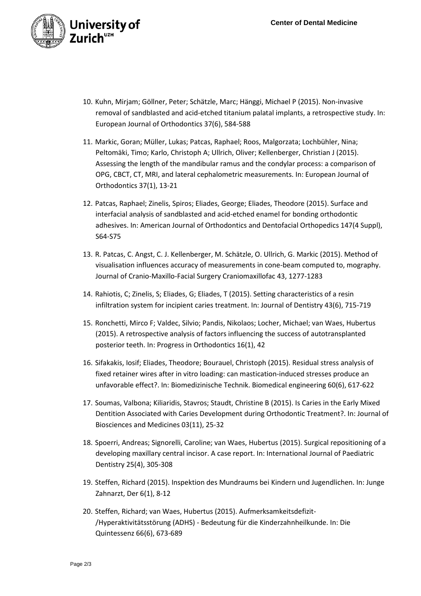

- 10. Kuhn, Mirjam; Göllner, Peter; Schätzle, Marc; Hänggi, Michael P (2015). Non-invasive removal of sandblasted and acid-etched titanium palatal implants, a retrospective study. In: European Journal of Orthodontics 37(6), 584-588
- 11. Markic, Goran; Müller, Lukas; Patcas, Raphael; Roos, Malgorzata; Lochbühler, Nina; Peltomäki, Timo; Karlo, Christoph A; Ullrich, Oliver; Kellenberger, Christian J (2015). Assessing the length of the mandibular ramus and the condylar process: a comparison of OPG, CBCT, CT, MRI, and lateral cephalometric measurements. In: European Journal of Orthodontics 37(1), 13-21
- 12. Patcas, Raphael; Zinelis, Spiros; Eliades, George; Eliades, Theodore (2015). Surface and interfacial analysis of sandblasted and acid-etched enamel for bonding orthodontic adhesives. In: American Journal of Orthodontics and Dentofacial Orthopedics 147(4 Suppl), S64-S75
- 13. R. Patcas, C. Angst, C. J. Kellenberger, M. Schätzle, O. Ullrich, G. Markic (2015). Method of visualisation influences accuracy of measurements in cone-beam computed to, mography. Journal of Cranio-Maxillo-Facial Surgery Craniomaxillofac 43, 1277-1283
- 14. Rahiotis, C; Zinelis, S; Eliades, G; Eliades, T (2015). Setting characteristics of a resin infiltration system for incipient caries treatment. In: Journal of Dentistry 43(6), 715-719
- 15. Ronchetti, Mirco F; Valdec, Silvio; Pandis, Nikolaos; Locher, Michael; van Waes, Hubertus (2015). A retrospective analysis of factors influencing the success of autotransplanted posterior teeth. In: Progress in Orthodontics 16(1), 42
- 16. Sifakakis, Iosif; Eliades, Theodore; Bourauel, Christoph (2015). Residual stress analysis of fixed retainer wires after in vitro loading: can mastication-induced stresses produce an unfavorable effect?. In: Biomedizinische Technik. Biomedical engineering 60(6), 617-622
- 17. Soumas, Valbona; Kiliaridis, Stavros; Staudt, Christine B (2015). Is Caries in the Early Mixed Dentition Associated with Caries Development during Orthodontic Treatment?. In: Journal of Biosciences and Medicines 03(11), 25-32
- 18. Spoerri, Andreas; Signorelli, Caroline; van Waes, Hubertus (2015). Surgical repositioning of a developing maxillary central incisor. A case report. In: International Journal of Paediatric Dentistry 25(4), 305-308
- 19. Steffen, Richard (2015). Inspektion des Mundraums bei Kindern und Jugendlichen. In: Junge Zahnarzt, Der 6(1), 8-12
- 20. Steffen, Richard; van Waes, Hubertus (2015). Aufmerksamkeitsdefizit- /Hyperaktivitätsstörung (ADHS) - Bedeutung für die Kinderzahnheilkunde. In: Die Quintessenz 66(6), 673-689